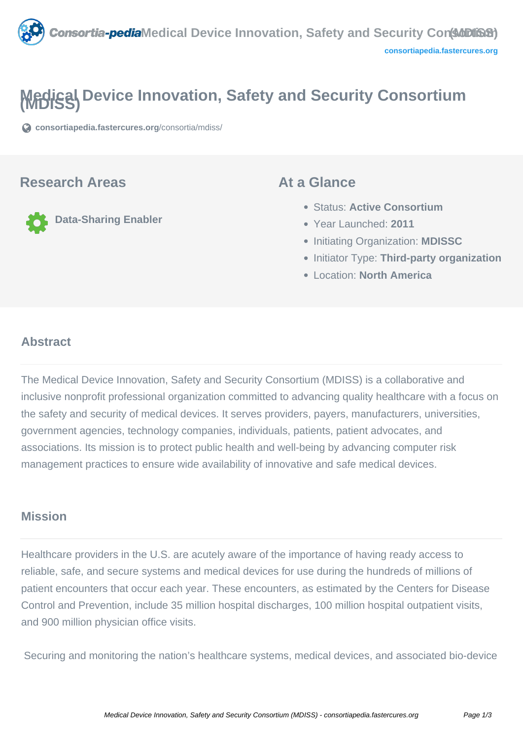

# **Medical Device Innovation, Safety and Security Consortium (MDISS)**

**[consortiapedia.fastercures.org](https://consortiapedia.fastercures.org/consortia/mdiss/)**[/consortia/mdiss/](https://consortiapedia.fastercures.org/consortia/mdiss/)

### **Research Areas**

**Data-Sharing Enabler**

### **At a Glance**

- Status: **Active Consortium**
- Year Launched: **2011**
- **Initiating Organization: MDISSC**
- **Initiator Type: Third-party organization**
- Location: **North America**

#### $\overline{a}$ **Abstract**

The Medical Device Innovation, Safety and Security Consortium (MDISS) is a collaborative and inclusive nonprofit professional organization committed to advancing quality healthcare with a focus on the safety and security of medical devices. It serves providers, payers, manufacturers, universities, government agencies, technology companies, individuals, patients, patient advocates, and associations. Its mission is to protect public health and well-being by advancing computer risk management practices to ensure wide availability of innovative and safe medical devices.

# **Mission**

Healthcare providers in the U.S. are acutely aware of the importance of having ready access to reliable, safe, and secure systems and medical devices for use during the hundreds of millions of patient encounters that occur each year. These encounters, as estimated by the Centers for Disease Control and Prevention, include 35 million hospital discharges, 100 million hospital outpatient visits, and 900 million physician office visits.

Securing and monitoring the nation's healthcare systems, medical devices, and associated bio-device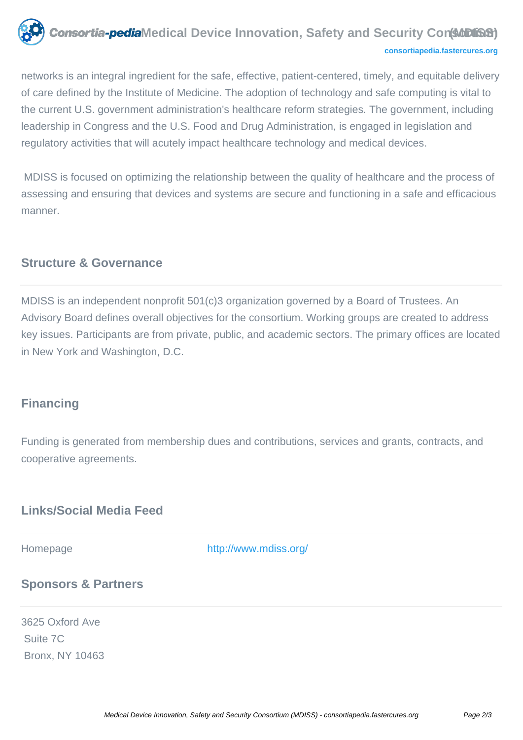

#### **[consortiapedia.fastercures.org](http://consortiapedia.fastercures.org/)**

networks is an integral ingredient for the safe, effective, patient-centered, timely, and equitable delivery of care defined by the Institute of Medicine. The adoption of technology and safe computing is vital to the current U.S. government administration's healthcare reform strategies. The government, including leadership in Congress and the U.S. Food and Drug Administration, is engaged in legislation and regulatory activities that will acutely impact healthcare technology and medical devices.

 MDISS is focused on optimizing the relationship between the quality of healthcare and the process of assessing and ensuring that devices and systems are secure and functioning in a safe and efficacious manner.

# **Structure & Governance**

MDISS is an independent nonprofit 501(c)3 organization governed by a Board of Trustees. An Advisory Board defines overall objectives for the consortium. Working groups are created to address key issues. Participants are from private, public, and academic sectors. The primary offices are located in New York and Washington, D.C.

# **Financing**

Funding is generated from membership dues and contributions, services and grants, contracts, and cooperative agreements.

# **Links/Social Media Feed**

Homepage <http://www.mdiss.org/>

# **Sponsors & Partners**

3625 Oxford Ave Suite 7C Bronx, NY 10463